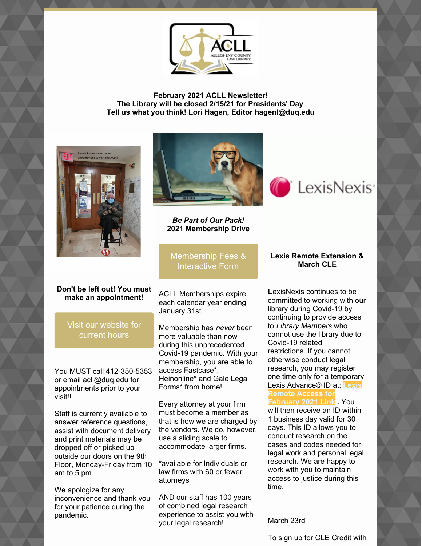

**February 2021 ACLL Newsletter! The Library will be closed 2/15/21 for Presidents' Day Tell us what you think! Lori Hagen, Editor hagenl@duq.edu**



#### **Don't be left out! You must make an appointment!**

Visit our [website](https://www.acllib.org/) for current hours

You MUST call 412-350-5353 or email acll@duq.edu for appointments prior to your visit!!

Staff is currently available to answer reference questions, assist with document delivery and print materials may be dropped off or picked up outside our doors on the 9th Floor, Monday-Friday from 10 am to 5 pm.

We apologize for any inconvenience and thank you for your patience during the pandemic.



*Be Part of Our Pack!* **2021 Membership Drive**

[Membership](https://www.acllib.org/index.php/membership/) Fees & Interactive Form

ACLL Memberships expire each calendar year ending January 31st.

Membership has *never* been more valuable than now during this unprecedented Covid-19 pandemic. With your membership, you are able to access Fastcase\*, Heinonline\* and Gale Legal Forms\* from home!

Every attorney at your firm must become a member as that is how we are charged by the vendors. We do, however, use a sliding scale to accommodate larger firms.

\*available for Individuals or law firms with 60 or fewer attorneys

AND our staff has 100 years of combined legal research experience to assist you with your legal research!

# **Lexis Remote Extension &**

LexisNexis<sup>®</sup>

**March CLE**

**L**exisNexis continues to be committed to working with our library during Covid-19 by continuing to provide access to *Library Members* who cannot use the library due to Covid-19 related restrictions. If you cannot otherwise conduct legal research, you may register one time only for a temporary Lexis [Advance®](https://nam02.safelinks.protection.outlook.com/?url=https%3A%2F%2Fwww.lexisnexis.com%2Fen-us%2Fpa-access-request.page&data=04%7C01%7Chagenl%40duq.edu%7Cded6692d46574350ac3b08d8a38a84eb%7C12c44311cf844e4195c38df690b1eb61%7C0%7C0%7C637439162632798735%7CUnknown%7CTWFpbGZsb3d8eyJWIjoiMC4wLjAwMDAiLCJQIjoiV2luMzIiLCJBTiI6Ik1haWwiLCJXVCI6Mn0%3D%7C1000&sdata=BYWk2aHwaEKLXPhWZzATpREv44pLklzdPV%2BPih5Qvsw%3D&reserved=0) ID at: **Lexis Remote Access for**

### **February 2021 Link .** You

will then receive an ID within 1 business day valid for 30 days. This ID allows you to conduct research on the cases and codes needed for legal work and personal legal research. We are happy to work with you to maintain access to justice during this time.

March 23rd

To sign up for CLE Credit with